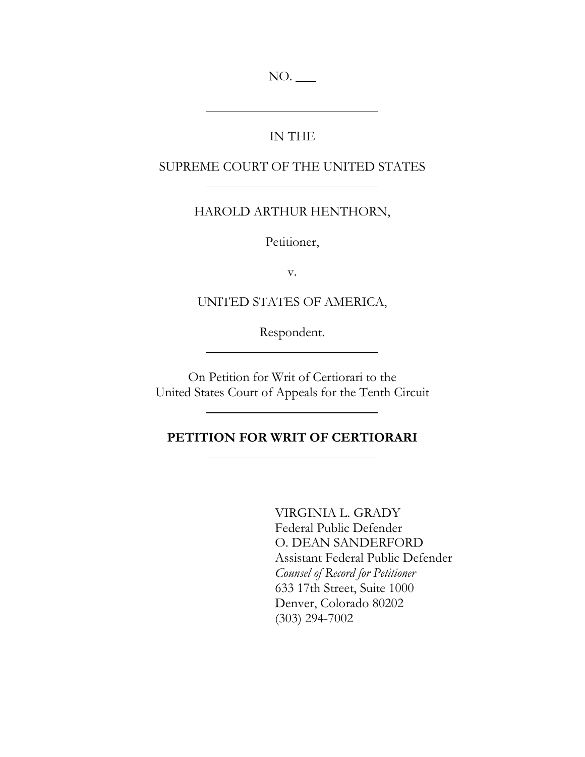NO. \_\_\_

## IN THE

## SUPREME COURT OF THE UNITED STATES

## HAROLD ARTHUR HENTHORN,

Petitioner,

v.

UNITED STATES OF AMERICA,

Respondent.

On Petition for Writ of Certiorari to the United States Court of Appeals for the Tenth Circuit

### **PETITION FOR WRIT OF CERTIORARI**

VIRGINIA L. GRADY Federal Public Defender O. DEAN SANDERFORD Assistant Federal Public Defender *Counsel of Record for Petitioner* 633 17th Street, Suite 1000 Denver, Colorado 80202 (303) 294-7002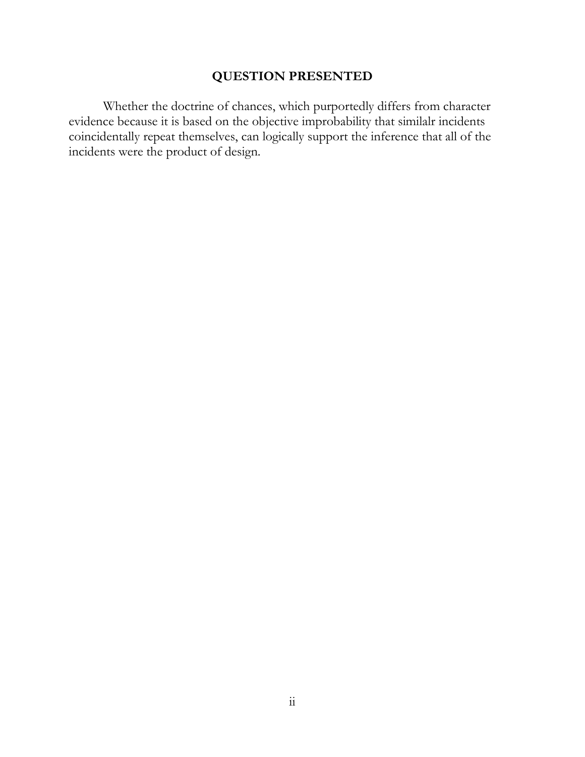## **QUESTION PRESENTED**

<span id="page-1-0"></span>Whether the doctrine of chances, which purportedly differs from character evidence because it is based on the objective improbability that similalr incidents coincidentally repeat themselves, can logically support the inference that all of the incidents were the product of design.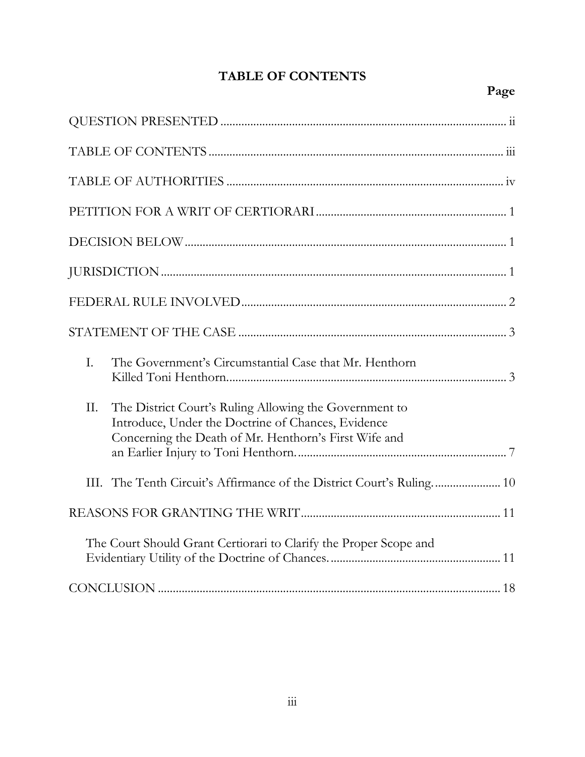# **TABLE OF CONTENTS**

## <span id="page-2-0"></span>**Page**

| I.  | The Government's Circumstantial Case that Mr. Henthorn                                                                                                                |
|-----|-----------------------------------------------------------------------------------------------------------------------------------------------------------------------|
| II. | The District Court's Ruling Allowing the Government to<br>Introduce, Under the Doctrine of Chances, Evidence<br>Concerning the Death of Mr. Henthorn's First Wife and |
|     |                                                                                                                                                                       |
|     |                                                                                                                                                                       |
|     |                                                                                                                                                                       |
|     | The Court Should Grant Certiorari to Clarify the Proper Scope and                                                                                                     |
|     |                                                                                                                                                                       |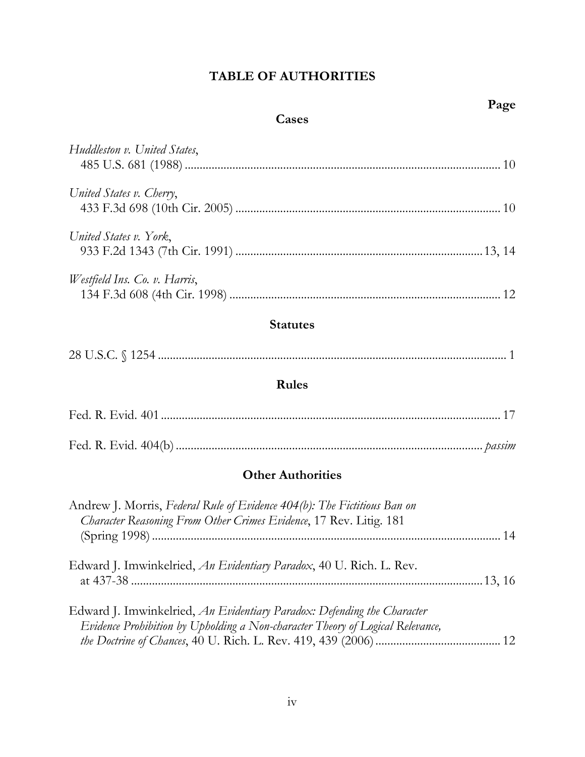## **TABLE OF AUTHORITIES**

## **Cases**

<span id="page-3-0"></span>

| Huddleston v. United States,  |  |
|-------------------------------|--|
| United States v. Cherry,      |  |
| United States v. York,        |  |
| Westfield Ins. Co. v. Harris, |  |

## **Statutes**

| 28 U. |  |
|-------|--|
|-------|--|

## **Rules**

## **Other Authorities**

| Andrew J. Morris, Federal Rule of Evidence 404(b): The Fictitious Ban on<br>Character Reasoning From Other Crimes Evidence, 17 Rev. Litig. 181            |     |
|-----------------------------------------------------------------------------------------------------------------------------------------------------------|-----|
|                                                                                                                                                           | .14 |
| Edward J. Imwinkelried, An Evidentiary Paradox, 40 U. Rich. L. Rev.                                                                                       |     |
| Edward J. Imwinkelried, An Evidentiary Paradox: Defending the Character<br>Evidence Prohibition by Upholding a Non-character Theory of Logical Relevance, |     |
|                                                                                                                                                           |     |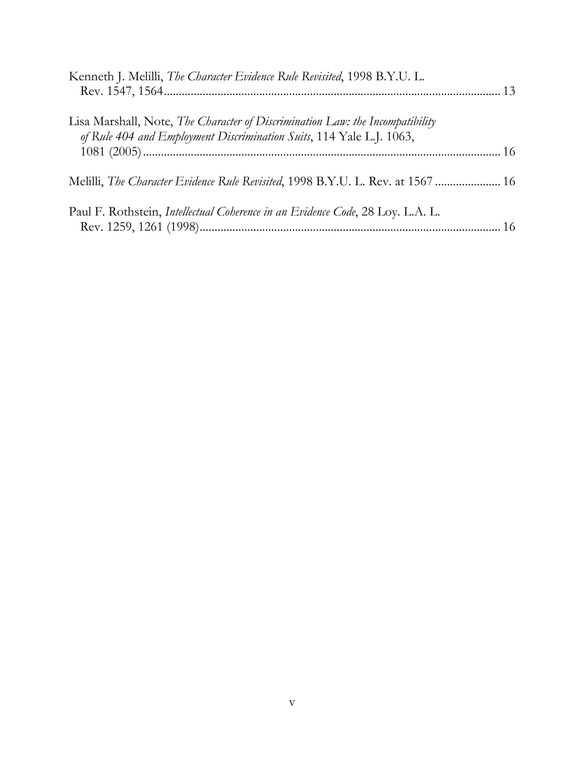| Kenneth J. Melilli, The Character Evidence Rule Revisited, 1998 B.Y.U. L.                                                                             |  |
|-------------------------------------------------------------------------------------------------------------------------------------------------------|--|
| Lisa Marshall, Note, The Character of Discrimination Law: the Incompatibility<br>of Rule 404 and Employment Discrimination Suits, 114 Yale L.J. 1063, |  |
| Melilli, The Character Evidence Rule Revisited, 1998 B.Y.U. L. Rev. at 1567  16                                                                       |  |
| Paul F. Rothstein, <i>Intellectual Coherence in an Evidence Code</i> , 28 Loy. L.A. L.                                                                |  |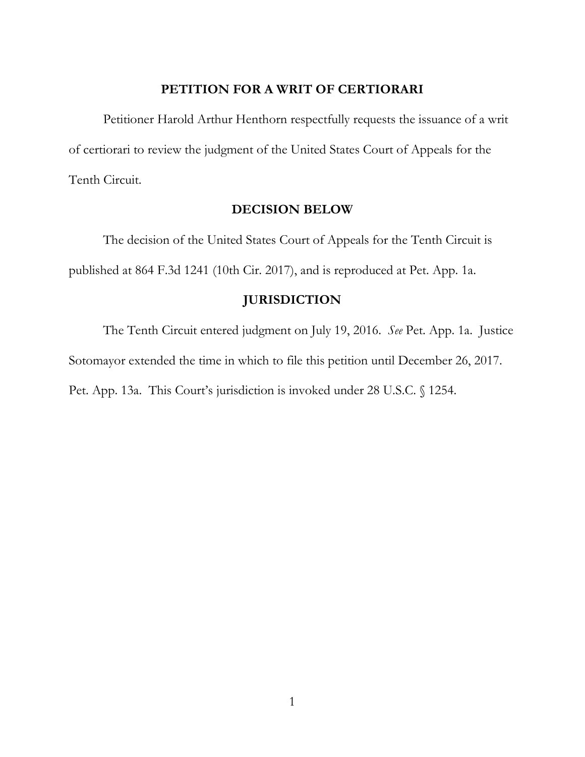#### **PETITION FOR A WRIT OF CERTIORARI**

<span id="page-5-0"></span>Petitioner Harold Arthur Henthorn respectfully requests the issuance of a writ of certiorari to review the judgment of the United States Court of Appeals for the Tenth Circuit.

#### **DECISION BELOW**

<span id="page-5-1"></span>The decision of the United States Court of Appeals for the Tenth Circuit is published at 864 F.3d 1241 (10th Cir. 2017), and is reproduced at Pet. App. 1a.

### **JURISDICTION**

<span id="page-5-2"></span>The Tenth Circuit entered judgment on July 19, 2016. *See* Pet. App. 1a. Justice Sotomayor extended the time in which to file this petition until December 26, 2017. Pet. App. 13a. This Court's jurisdiction is invoked under 28 U.S.C. § 1254.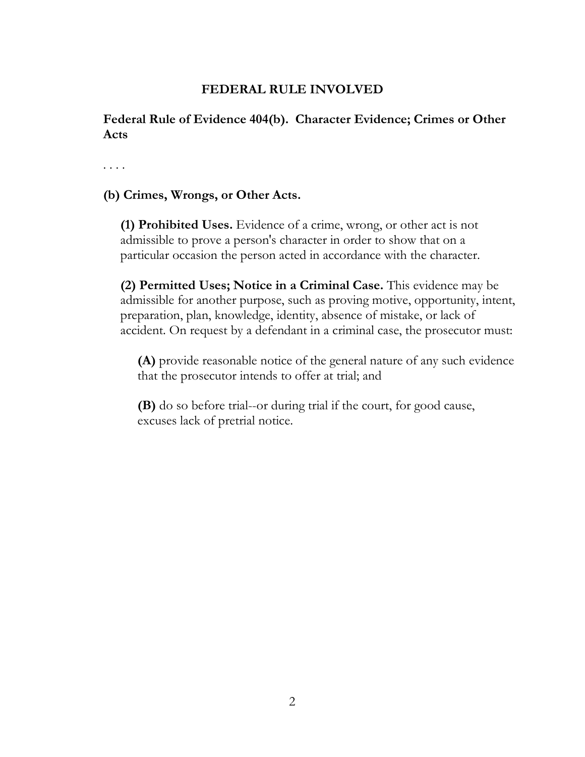## **FEDERAL RULE INVOLVED**

<span id="page-6-0"></span>**Federal Rule of Evidence 404(b). Character Evidence; Crimes or Other Acts**

. . . .

## **(b) Crimes, Wrongs, or Other Acts.**

**(1) Prohibited Uses.** Evidence of a crime, wrong, or other act is not admissible to prove a person's character in order to show that on a particular occasion the person acted in accordance with the character.

**(2) Permitted Uses; Notice in a Criminal Case.** This evidence may be admissible for another purpose, such as proving motive, opportunity, intent, preparation, plan, knowledge, identity, absence of mistake, or lack of accident. On request by a defendant in a criminal case, the prosecutor must:

**(A)** provide reasonable notice of the general nature of any such evidence that the prosecutor intends to offer at trial; and

**(B)** do so before trial--or during trial if the court, for good cause, excuses lack of pretrial notice.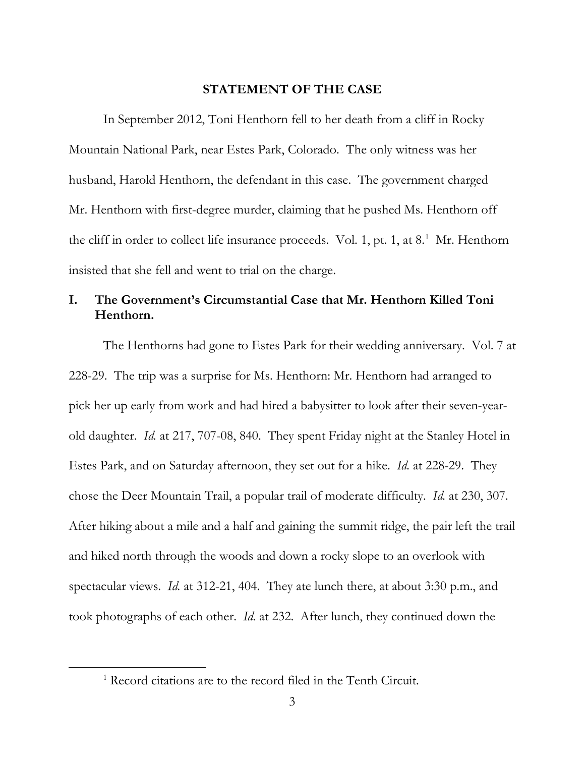#### **STATEMENT OF THE CASE**

<span id="page-7-0"></span>In September 2012, Toni Henthorn fell to her death from a cliff in Rocky Mountain National Park, near Estes Park, Colorado. The only witness was her husband, Harold Henthorn, the defendant in this case. The government charged Mr. Henthorn with first-degree murder, claiming that he pushed Ms. Henthorn off the cliff in order to collect life insurance proceeds. Vol. [1](#page-7-2), pt. 1, at 8.<sup>1</sup> Mr. Henthorn insisted that she fell and went to trial on the charge.

## <span id="page-7-1"></span>**I. The Government's Circumstantial Case that Mr. Henthorn Killed Toni Henthorn.**

The Henthorns had gone to Estes Park for their wedding anniversary. Vol. 7 at 228-29. The trip was a surprise for Ms. Henthorn: Mr. Henthorn had arranged to pick her up early from work and had hired a babysitter to look after their seven-yearold daughter. *Id.* at 217, 707-08, 840. They spent Friday night at the Stanley Hotel in Estes Park, and on Saturday afternoon, they set out for a hike. *Id.* at 228-29. They chose the Deer Mountain Trail, a popular trail of moderate difficulty. *Id.* at 230, 307. After hiking about a mile and a half and gaining the summit ridge, the pair left the trail and hiked north through the woods and down a rocky slope to an overlook with spectacular views. *Id.* at 312-21, 404. They ate lunch there, at about 3:30 p.m., and took photographs of each other. *Id.* at 232. After lunch, they continued down the

<span id="page-7-2"></span> $\overline{a}$ 

<sup>1</sup> Record citations are to the record filed in the Tenth Circuit.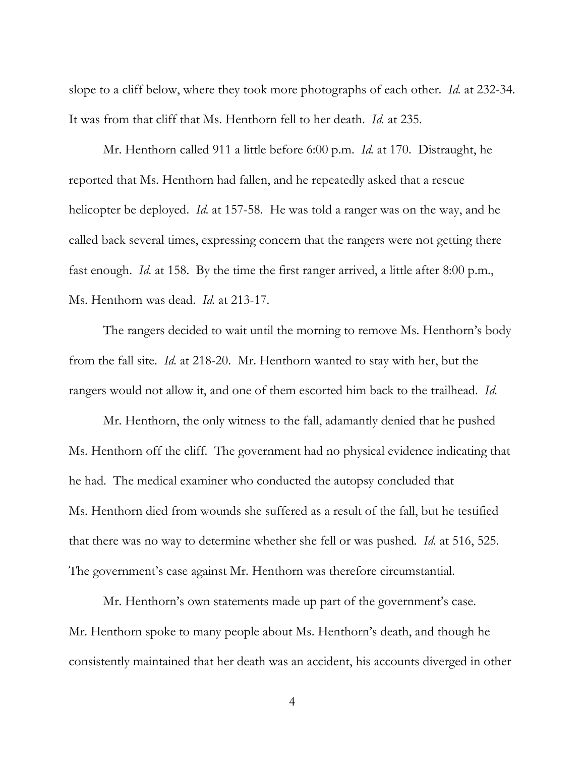slope to a cliff below, where they took more photographs of each other. *Id.* at 232-34. It was from that cliff that Ms. Henthorn fell to her death. *Id.* at 235.

Mr. Henthorn called 911 a little before 6:00 p.m. *Id.* at 170. Distraught, he reported that Ms. Henthorn had fallen, and he repeatedly asked that a rescue helicopter be deployed. *Id.* at 157-58. He was told a ranger was on the way, and he called back several times, expressing concern that the rangers were not getting there fast enough. *Id.* at 158. By the time the first ranger arrived, a little after 8:00 p.m., Ms. Henthorn was dead. *Id.* at 213-17.

The rangers decided to wait until the morning to remove Ms. Henthorn's body from the fall site. *Id.* at 218-20. Mr. Henthorn wanted to stay with her, but the rangers would not allow it, and one of them escorted him back to the trailhead. *Id.*

Mr. Henthorn, the only witness to the fall, adamantly denied that he pushed Ms. Henthorn off the cliff. The government had no physical evidence indicating that he had. The medical examiner who conducted the autopsy concluded that Ms. Henthorn died from wounds she suffered as a result of the fall, but he testified that there was no way to determine whether she fell or was pushed. *Id.* at 516, 525. The government's case against Mr. Henthorn was therefore circumstantial.

Mr. Henthorn's own statements made up part of the government's case. Mr. Henthorn spoke to many people about Ms. Henthorn's death, and though he consistently maintained that her death was an accident, his accounts diverged in other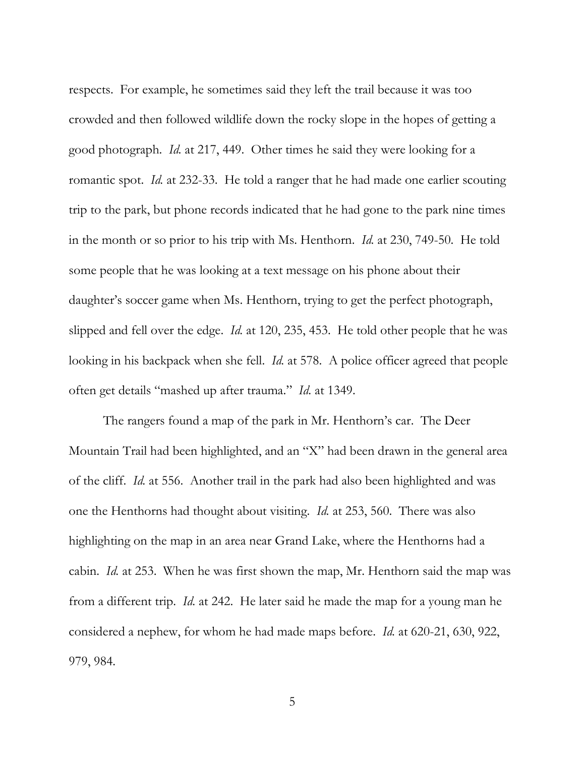respects. For example, he sometimes said they left the trail because it was too crowded and then followed wildlife down the rocky slope in the hopes of getting a good photograph. *Id.* at 217, 449. Other times he said they were looking for a romantic spot. *Id.* at 232-33. He told a ranger that he had made one earlier scouting trip to the park, but phone records indicated that he had gone to the park nine times in the month or so prior to his trip with Ms. Henthorn. *Id.* at 230, 749-50. He told some people that he was looking at a text message on his phone about their daughter's soccer game when Ms. Henthorn, trying to get the perfect photograph, slipped and fell over the edge. *Id.* at 120, 235, 453. He told other people that he was looking in his backpack when she fell. *Id.* at 578. A police officer agreed that people often get details "mashed up after trauma." *Id.* at 1349.

The rangers found a map of the park in Mr. Henthorn's car. The Deer Mountain Trail had been highlighted, and an "X" had been drawn in the general area of the cliff. *Id.* at 556. Another trail in the park had also been highlighted and was one the Henthorns had thought about visiting. *Id.* at 253, 560. There was also highlighting on the map in an area near Grand Lake, where the Henthorns had a cabin. *Id.* at 253. When he was first shown the map, Mr. Henthorn said the map was from a different trip. *Id.* at 242. He later said he made the map for a young man he considered a nephew, for whom he had made maps before. *Id.* at 620-21, 630, 922, 979, 984.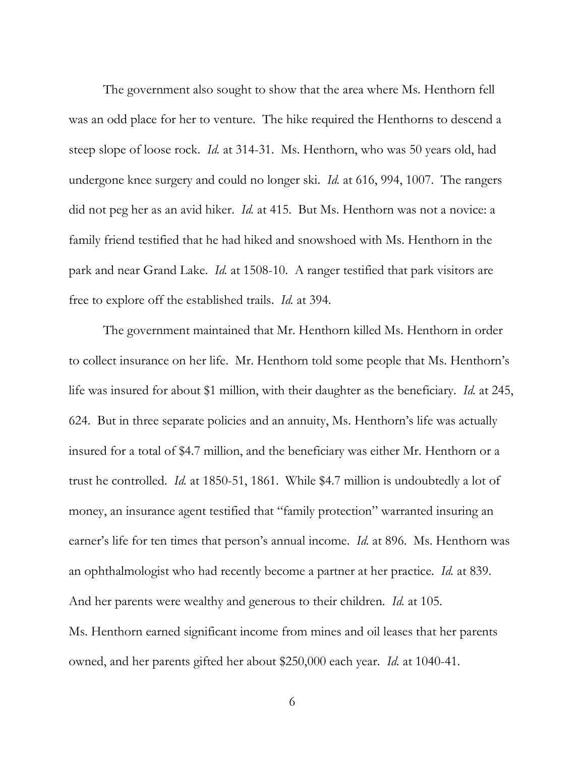The government also sought to show that the area where Ms. Henthorn fell was an odd place for her to venture. The hike required the Henthorns to descend a steep slope of loose rock. *Id.* at 314-31. Ms. Henthorn, who was 50 years old, had undergone knee surgery and could no longer ski. *Id.* at 616, 994, 1007. The rangers did not peg her as an avid hiker. *Id.* at 415. But Ms. Henthorn was not a novice: a family friend testified that he had hiked and snowshoed with Ms. Henthorn in the park and near Grand Lake. *Id.* at 1508-10. A ranger testified that park visitors are free to explore off the established trails. *Id.* at 394.

The government maintained that Mr. Henthorn killed Ms. Henthorn in order to collect insurance on her life. Mr. Henthorn told some people that Ms. Henthorn's life was insured for about \$1 million, with their daughter as the beneficiary. *Id.* at 245, 624. But in three separate policies and an annuity, Ms. Henthorn's life was actually insured for a total of \$4.7 million, and the beneficiary was either Mr. Henthorn or a trust he controlled. *Id.* at 1850-51, 1861. While \$4.7 million is undoubtedly a lot of money, an insurance agent testified that "family protection" warranted insuring an earner's life for ten times that person's annual income. *Id.* at 896. Ms. Henthorn was an ophthalmologist who had recently become a partner at her practice. *Id.* at 839. And her parents were wealthy and generous to their children. *Id.* at 105. Ms. Henthorn earned significant income from mines and oil leases that her parents owned, and her parents gifted her about \$250,000 each year. *Id.* at 1040-41.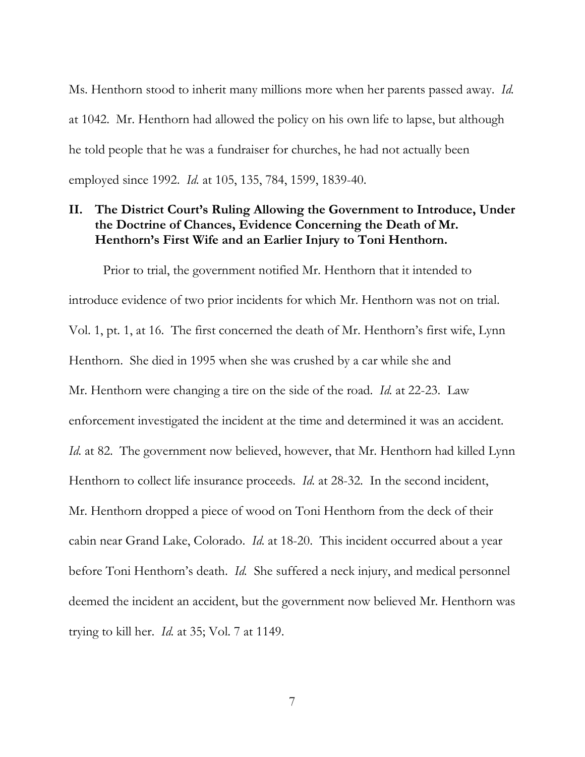Ms. Henthorn stood to inherit many millions more when her parents passed away. *Id.* at 1042. Mr. Henthorn had allowed the policy on his own life to lapse, but although he told people that he was a fundraiser for churches, he had not actually been employed since 1992. *Id.* at 105, 135, 784, 1599, 1839-40.

### <span id="page-11-0"></span>**II. The District Court's Ruling Allowing the Government to Introduce, Under the Doctrine of Chances, Evidence Concerning the Death of Mr. Henthorn's First Wife and an Earlier Injury to Toni Henthorn.**

Prior to trial, the government notified Mr. Henthorn that it intended to introduce evidence of two prior incidents for which Mr. Henthorn was not on trial. Vol. 1, pt. 1, at 16. The first concerned the death of Mr. Henthorn's first wife, Lynn Henthorn. She died in 1995 when she was crushed by a car while she and Mr. Henthorn were changing a tire on the side of the road. *Id.* at 22-23. Law enforcement investigated the incident at the time and determined it was an accident. *Id.* at 82. The government now believed, however, that Mr. Henthorn had killed Lynn Henthorn to collect life insurance proceeds. *Id.* at 28-32. In the second incident, Mr. Henthorn dropped a piece of wood on Toni Henthorn from the deck of their cabin near Grand Lake, Colorado. *Id.* at 18-20. This incident occurred about a year before Toni Henthorn's death. *Id.* She suffered a neck injury, and medical personnel deemed the incident an accident, but the government now believed Mr. Henthorn was trying to kill her. *Id.* at 35; Vol. 7 at 1149.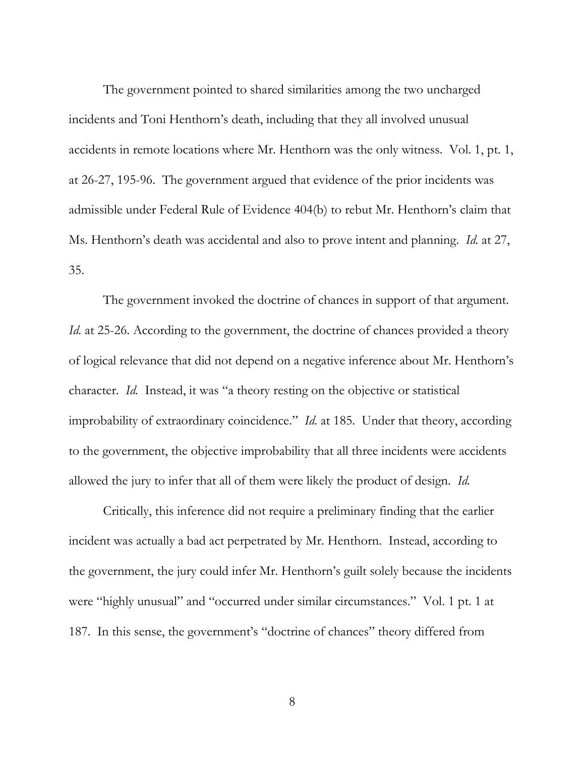The government pointed to shared similarities among the two uncharged incidents and Toni Henthorn's death, including that they all involved unusual accidents in remote locations where Mr. Henthorn was the only witness. Vol. 1, pt. 1, at 26-27, 195-96. The government argued that evidence of the prior incidents was admissible under Federal Rule of Evidence 404(b) to rebut Mr. Henthorn's claim that Ms. Henthorn's death was accidental and also to prove intent and planning. *Id.* at 27, 35.

The government invoked the doctrine of chances in support of that argument. *Id.* at 25-26. According to the government, the doctrine of chances provided a theory of logical relevance that did not depend on a negative inference about Mr. Henthorn's character. *Id.* Instead, it was "a theory resting on the objective or statistical improbability of extraordinary coincidence." *Id.* at 185. Under that theory, according to the government, the objective improbability that all three incidents were accidents allowed the jury to infer that all of them were likely the product of design. *Id.*

Critically, this inference did not require a preliminary finding that the earlier incident was actually a bad act perpetrated by Mr. Henthorn. Instead, according to the government, the jury could infer Mr. Henthorn's guilt solely because the incidents were "highly unusual" and "occurred under similar circumstances." Vol. 1 pt. 1 at 187. In this sense, the government's "doctrine of chances" theory differed from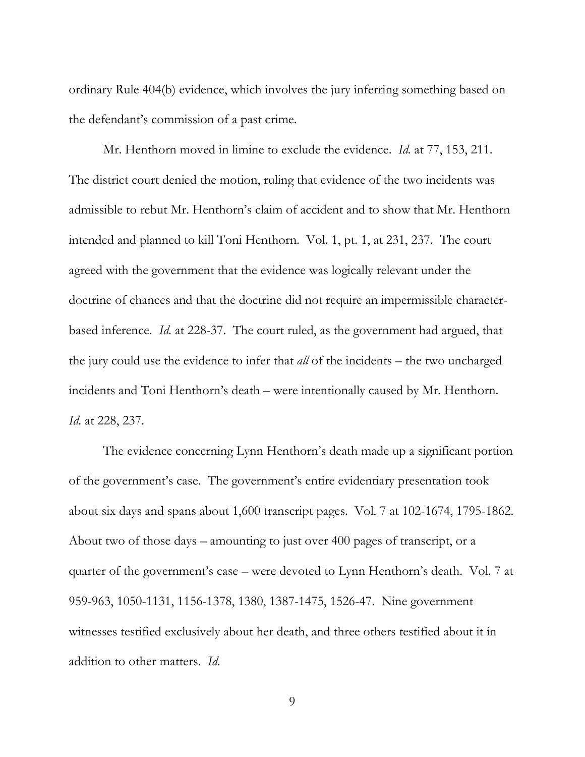ordinary Rule 404(b) evidence, which involves the jury inferring something based on the defendant's commission of a past crime.

Mr. Henthorn moved in limine to exclude the evidence. *Id.* at 77, 153, 211. The district court denied the motion, ruling that evidence of the two incidents was admissible to rebut Mr. Henthorn's claim of accident and to show that Mr. Henthorn intended and planned to kill Toni Henthorn. Vol. 1, pt. 1, at 231, 237. The court agreed with the government that the evidence was logically relevant under the doctrine of chances and that the doctrine did not require an impermissible characterbased inference. *Id.* at 228-37. The court ruled, as the government had argued, that the jury could use the evidence to infer that *all* of the incidents – the two uncharged incidents and Toni Henthorn's death – were intentionally caused by Mr. Henthorn. *Id.* at 228, 237.

The evidence concerning Lynn Henthorn's death made up a significant portion of the government's case. The government's entire evidentiary presentation took about six days and spans about 1,600 transcript pages. Vol. 7 at 102-1674, 1795-1862. About two of those days – amounting to just over 400 pages of transcript, or a quarter of the government's case – were devoted to Lynn Henthorn's death. Vol. 7 at 959-963, 1050-1131, 1156-1378, 1380, 1387-1475, 1526-47. Nine government witnesses testified exclusively about her death, and three others testified about it in addition to other matters. *Id.*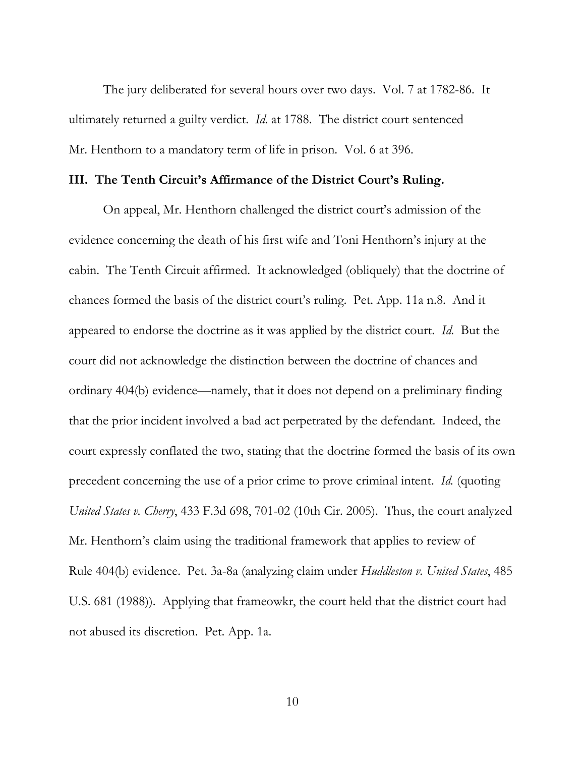The jury deliberated for several hours over two days. Vol. 7 at 1782-86. It ultimately returned a guilty verdict. *Id.* at 1788. The district court sentenced Mr. Henthorn to a mandatory term of life in prison. Vol. 6 at 396.

#### <span id="page-14-0"></span>**III. The Tenth Circuit's Affirmance of the District Court's Ruling.**

On appeal, Mr. Henthorn challenged the district court's admission of the evidence concerning the death of his first wife and Toni Henthorn's injury at the cabin. The Tenth Circuit affirmed. It acknowledged (obliquely) that the doctrine of chances formed the basis of the district court's ruling. Pet. App. 11a n.8. And it appeared to endorse the doctrine as it was applied by the district court. *Id.* But the court did not acknowledge the distinction between the doctrine of chances and ordinary 404(b) evidence—namely, that it does not depend on a preliminary finding that the prior incident involved a bad act perpetrated by the defendant. Indeed, the court expressly conflated the two, stating that the doctrine formed the basis of its own precedent concerning the use of a prior crime to prove criminal intent. *Id.* (quoting *United States v. Cherry*, 433 F.3d 698, 701-02 (10th Cir. 2005). Thus, the court analyzed Mr. Henthorn's claim using the traditional framework that applies to review of Rule 404(b) evidence. Pet. 3a-8a (analyzing claim under *Huddleston v. United States*, 485 U.S. 681 (1988)). Applying that frameowkr, the court held that the district court had not abused its discretion. Pet. App. 1a.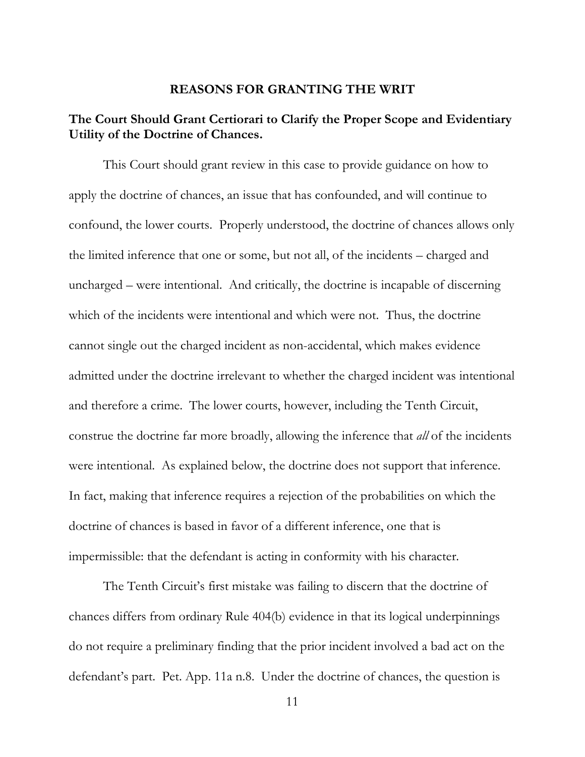#### **REASONS FOR GRANTING THE WRIT**

## <span id="page-15-1"></span><span id="page-15-0"></span>**The Court Should Grant Certiorari to Clarify the Proper Scope and Evidentiary Utility of the Doctrine of Chances.**

This Court should grant review in this case to provide guidance on how to apply the doctrine of chances, an issue that has confounded, and will continue to confound, the lower courts. Properly understood, the doctrine of chances allows only the limited inference that one or some, but not all, of the incidents – charged and uncharged – were intentional. And critically, the doctrine is incapable of discerning which of the incidents were intentional and which were not. Thus, the doctrine cannot single out the charged incident as non-accidental, which makes evidence admitted under the doctrine irrelevant to whether the charged incident was intentional and therefore a crime. The lower courts, however, including the Tenth Circuit, construe the doctrine far more broadly, allowing the inference that *all* of the incidents were intentional. As explained below, the doctrine does not support that inference. In fact, making that inference requires a rejection of the probabilities on which the doctrine of chances is based in favor of a different inference, one that is impermissible: that the defendant is acting in conformity with his character.

The Tenth Circuit's first mistake was failing to discern that the doctrine of chances differs from ordinary Rule 404(b) evidence in that its logical underpinnings do not require a preliminary finding that the prior incident involved a bad act on the defendant's part. Pet. App. 11a n.8. Under the doctrine of chances, the question is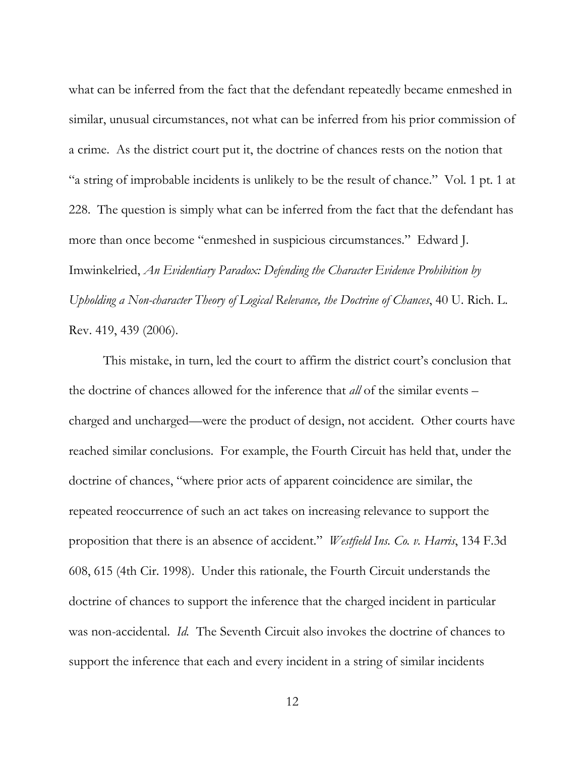what can be inferred from the fact that the defendant repeatedly became enmeshed in similar, unusual circumstances, not what can be inferred from his prior commission of a crime. As the district court put it, the doctrine of chances rests on the notion that "a string of improbable incidents is unlikely to be the result of chance." Vol. 1 pt. 1 at 228. The question is simply what can be inferred from the fact that the defendant has more than once become "enmeshed in suspicious circumstances." Edward J. Imwinkelried, *An Evidentiary Paradox: Defending the Character Evidence Prohibition by Upholding a Non-character Theory of Logical Relevance, the Doctrine of Chances*, 40 U. Rich. L. Rev. 419, 439 (2006).

This mistake, in turn, led the court to affirm the district court's conclusion that the doctrine of chances allowed for the inference that *all* of the similar events – charged and uncharged—were the product of design, not accident. Other courts have reached similar conclusions. For example, the Fourth Circuit has held that, under the doctrine of chances, "where prior acts of apparent coincidence are similar, the repeated reoccurrence of such an act takes on increasing relevance to support the proposition that there is an absence of accident." *Westfield Ins. Co. v. Harris*, 134 F.3d 608, 615 (4th Cir. 1998). Under this rationale, the Fourth Circuit understands the doctrine of chances to support the inference that the charged incident in particular was non-accidental. *Id.* The Seventh Circuit also invokes the doctrine of chances to support the inference that each and every incident in a string of similar incidents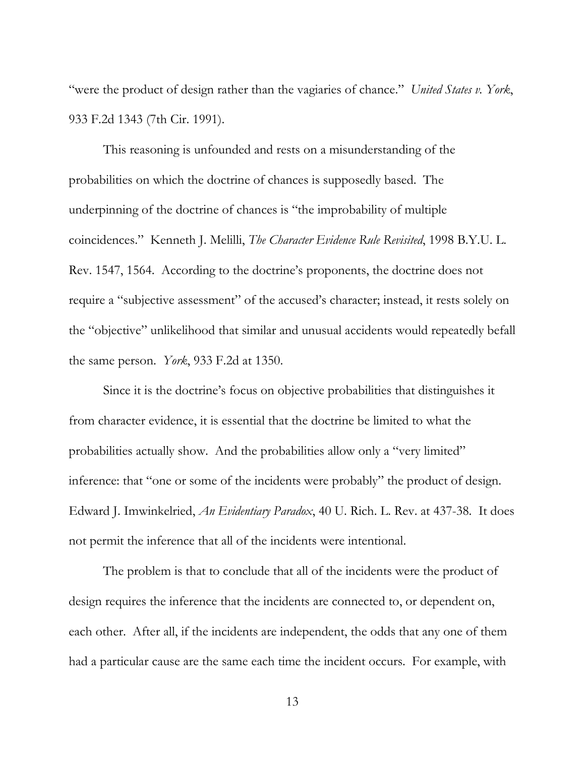"were the product of design rather than the vagiaries of chance." *United States v. York*, 933 F.2d 1343 (7th Cir. 1991).

This reasoning is unfounded and rests on a misunderstanding of the probabilities on which the doctrine of chances is supposedly based. The underpinning of the doctrine of chances is "the improbability of multiple coincidences." Kenneth J. Melilli, *The Character Evidence Rule Revisited*, 1998 B.Y.U. L. Rev. 1547, 1564. According to the doctrine's proponents, the doctrine does not require a "subjective assessment" of the accused's character; instead, it rests solely on the "objective" unlikelihood that similar and unusual accidents would repeatedly befall the same person. *York*, 933 F.2d at 1350.

Since it is the doctrine's focus on objective probabilities that distinguishes it from character evidence, it is essential that the doctrine be limited to what the probabilities actually show. And the probabilities allow only a "very limited" inference: that "one or some of the incidents were probably" the product of design. Edward J. Imwinkelried, *An Evidentiary Paradox*, 40 U. Rich. L. Rev. at 437-38. It does not permit the inference that all of the incidents were intentional.

The problem is that to conclude that all of the incidents were the product of design requires the inference that the incidents are connected to, or dependent on, each other. After all, if the incidents are independent, the odds that any one of them had a particular cause are the same each time the incident occurs. For example, with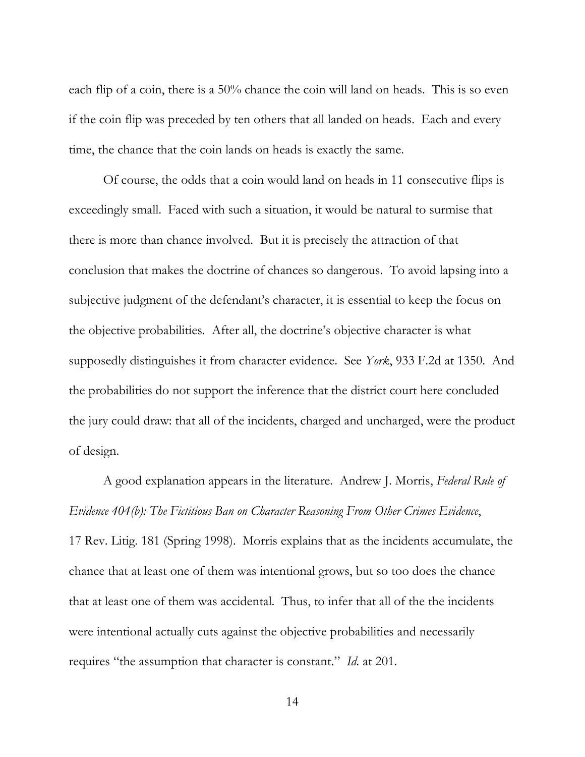each flip of a coin, there is a 50% chance the coin will land on heads. This is so even if the coin flip was preceded by ten others that all landed on heads. Each and every time, the chance that the coin lands on heads is exactly the same.

Of course, the odds that a coin would land on heads in 11 consecutive flips is exceedingly small. Faced with such a situation, it would be natural to surmise that there is more than chance involved. But it is precisely the attraction of that conclusion that makes the doctrine of chances so dangerous. To avoid lapsing into a subjective judgment of the defendant's character, it is essential to keep the focus on the objective probabilities. After all, the doctrine's objective character is what supposedly distinguishes it from character evidence. See *York*, 933 F.2d at 1350. And the probabilities do not support the inference that the district court here concluded the jury could draw: that all of the incidents, charged and uncharged, were the product of design.

A good explanation appears in the literature. Andrew J. Morris, *Federal Rule of Evidence 404(b): The Fictitious Ban on Character Reasoning From Other Crimes Evidence*,

17 Rev. Litig. 181 (Spring 1998). Morris explains that as the incidents accumulate, the chance that at least one of them was intentional grows, but so too does the chance that at least one of them was accidental. Thus, to infer that all of the the incidents were intentional actually cuts against the objective probabilities and necessarily requires "the assumption that character is constant." *Id.* at 201.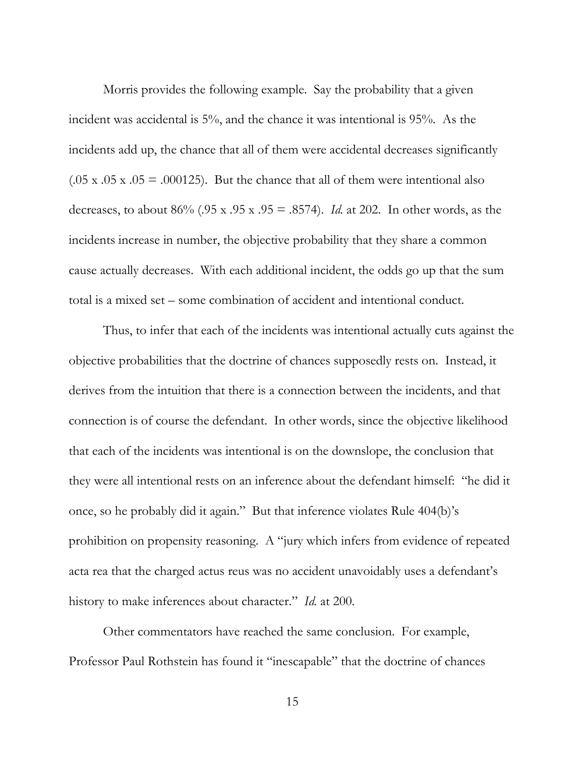Morris provides the following example. Say the probability that a given incident was accidental is 5%, and the chance it was intentional is 95%. As the incidents add up, the chance that all of them were accidental decreases significantly  $(.05 \times .05 \times .05 = .000125)$ . But the chance that all of them were intentional also decreases, to about 86% (.95 x .95 x .95 = .8574). *Id.* at 202. In other words, as the incidents increase in number, the objective probability that they share a common cause actually decreases. With each additional incident, the odds go up that the sum total is a mixed set – some combination of accident and intentional conduct.

Thus, to infer that each of the incidents was intentional actually cuts against the objective probabilities that the doctrine of chances supposedly rests on. Instead, it derives from the intuition that there is a connection between the incidents, and that connection is of course the defendant. In other words, since the objective likelihood that each of the incidents was intentional is on the downslope, the conclusion that they were all intentional rests on an inference about the defendant himself: "he did it once, so he probably did it again." But that inference violates Rule 404(b)'s prohibition on propensity reasoning. A "jury which infers from evidence of repeated acta rea that the charged actus reus was no accident unavoidably uses a defendant's history to make inferences about character." *Id.* at 200.

Other commentators have reached the same conclusion. For example, Professor Paul Rothstein has found it "inescapable" that the doctrine of chances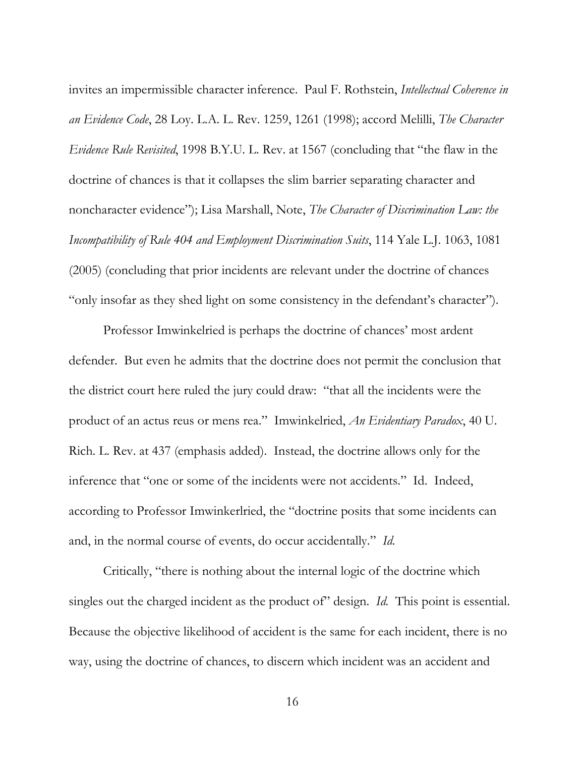invites an impermissible character inference. Paul F. Rothstein, *Intellectual Coherence in an Evidence Code*, 28 Loy. L.A. L. Rev. 1259, 1261 (1998); accord Melilli, *The Character Evidence Rule Revisited*, 1998 B.Y.U. L. Rev. at 1567 (concluding that "the flaw in the doctrine of chances is that it collapses the slim barrier separating character and noncharacter evidence"); Lisa Marshall, Note, *The Character of Discrimination Law: the Incompatibility of Rule 404 and Employment Discrimination Suits*, 114 Yale L.J. 1063, 1081 (2005) (concluding that prior incidents are relevant under the doctrine of chances "only insofar as they shed light on some consistency in the defendant's character").

Professor Imwinkelried is perhaps the doctrine of chances' most ardent defender. But even he admits that the doctrine does not permit the conclusion that the district court here ruled the jury could draw: "that all the incidents were the product of an actus reus or mens rea." Imwinkelried, *An Evidentiary Paradox*, 40 U. Rich. L. Rev. at 437 (emphasis added). Instead, the doctrine allows only for the inference that "one or some of the incidents were not accidents." Id. Indeed, according to Professor Imwinkerlried, the "doctrine posits that some incidents can and, in the normal course of events, do occur accidentally." *Id.*

Critically, "there is nothing about the internal logic of the doctrine which singles out the charged incident as the product of" design. *Id.* This point is essential. Because the objective likelihood of accident is the same for each incident, there is no way, using the doctrine of chances, to discern which incident was an accident and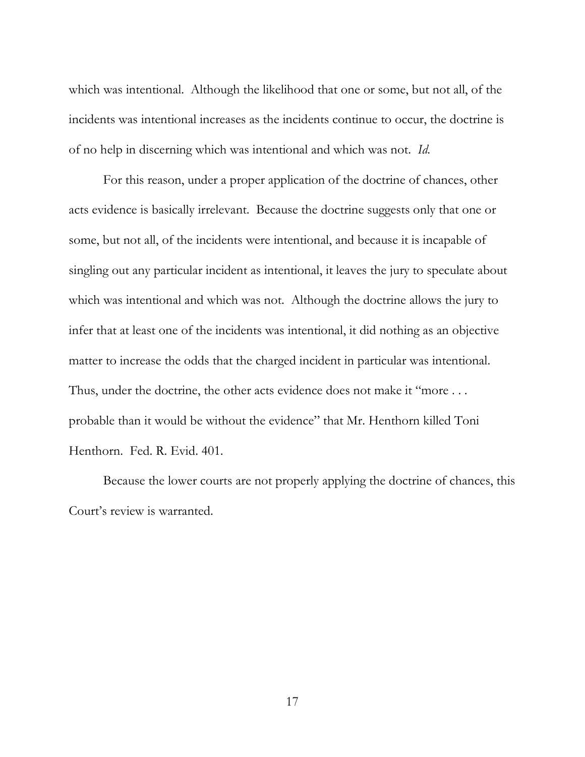which was intentional. Although the likelihood that one or some, but not all, of the incidents was intentional increases as the incidents continue to occur, the doctrine is of no help in discerning which was intentional and which was not. *Id.*

For this reason, under a proper application of the doctrine of chances, other acts evidence is basically irrelevant. Because the doctrine suggests only that one or some, but not all, of the incidents were intentional, and because it is incapable of singling out any particular incident as intentional, it leaves the jury to speculate about which was intentional and which was not. Although the doctrine allows the jury to infer that at least one of the incidents was intentional, it did nothing as an objective matter to increase the odds that the charged incident in particular was intentional. Thus, under the doctrine, the other acts evidence does not make it "more ... probable than it would be without the evidence" that Mr. Henthorn killed Toni Henthorn. Fed. R. Evid. 401.

Because the lower courts are not properly applying the doctrine of chances, this Court's review is warranted.